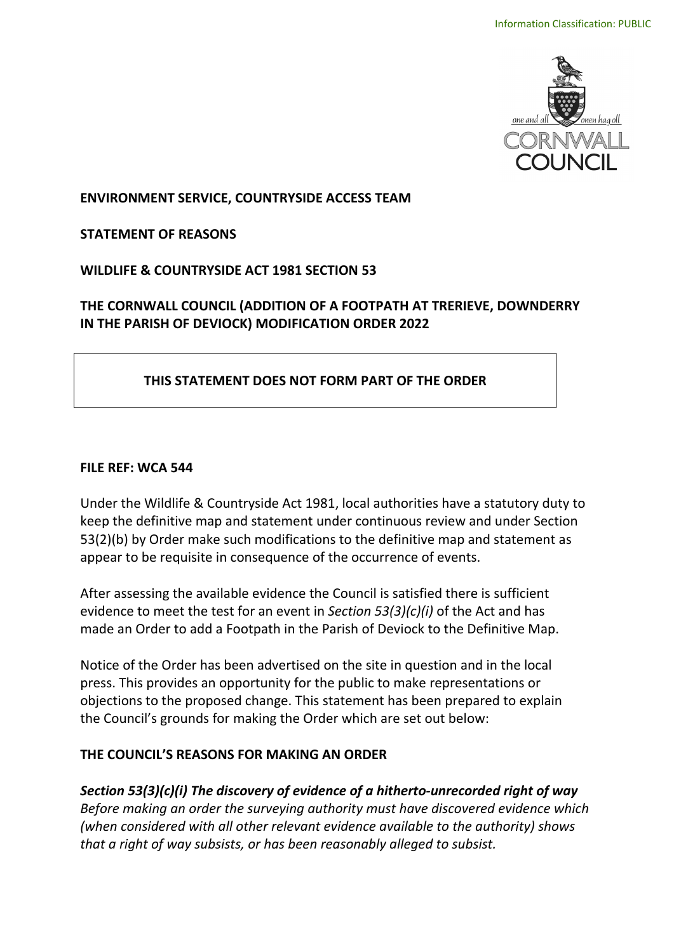

 **ENVIRONMENT SERVICE, COUNTRYSIDE ACCESS TEAM** 

**STATEMENT OF REASONS** 

 **WILDLIFE & COUNTRYSIDE ACT 1981 SECTION 53** 

## **THE CORNWALL COUNCIL (ADDITION OF A FOOTPATH AT TRERIEVE, DOWNDERRY IN THE PARISH OF DEVIOCK) MODIFICATION ORDER 2022**

## **THIS STATEMENT DOES NOT FORM PART OF THE ORDER**

#### **FILE REF: WCA 544**

Under the Wildlife & Countryside Act 1981, local authorities have a statutory duty to keep the definitive map and statement under continuous review and under Section 53(2)(b) by Order make such modifications to the definitive map and statement as appear to be requisite in consequence of the occurrence of events.

After assessing the available evidence the Council is satisfied there is sufficient evidence to meet the test for an event in *Section 53(3)(c)(i)* of the Act and has made an Order to add a Footpath in the Parish of Deviock to the Definitive Map.

Notice of the Order has been advertised on the site in question and in the local press. This provides an opportunity for the public to make representations or objections to the proposed change. This statement has been prepared to explain the Council's grounds for making the Order which are set out below:

## **THE COUNCIL'S REASONS FOR MAKING AN ORDER**

 *Before making an order the surveying authority must have discovered evidence which (when considered with all other relevant evidence available to the authority) shows that a right of way subsists, or has been reasonably alleged to subsist. Section 53(3)(c)(i) The discovery of evidence of a hitherto-unrecorded right of way*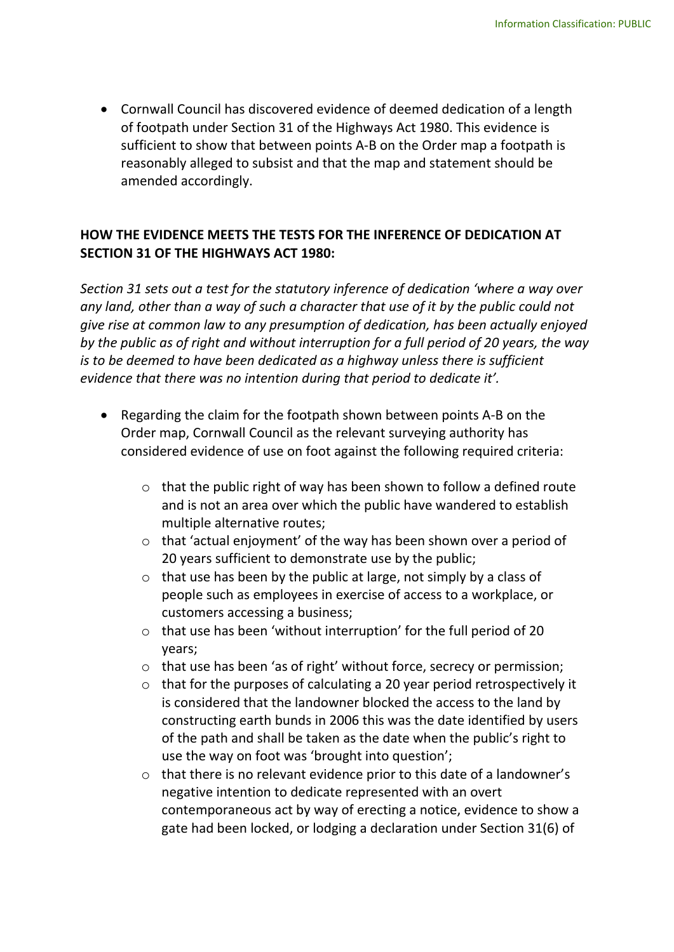of footpath under Section 31 of the Highways Act 1980. This evidence is sufficient to show that between points A-B on the Order map a footpath is reasonably alleged to subsist and that the map and statement should be • Cornwall Council has discovered evidence of deemed dedication of a length amended accordingly.

## **HOW THE EVIDENCE MEETS THE TESTS FOR THE INFERENCE OF DEDICATION AT SECTION 31 OF THE HIGHWAYS ACT 1980:**

 *Section 31 sets out a test for the statutory inference of dedication 'where a way over any land, other than a way of such a character that use of it by the public could not give rise at common law to any presumption of dedication, has been actually enjoyed*  is to be deemed to have been dedicated as a highway unless there is sufficient  *evidence that there was no intention during that period to dedicate it'. by the public as of right and without interruption for a full period of 20 years, the way* 

- • Regarding the claim for the footpath shown between points A-B on the Order map, Cornwall Council as the relevant surveying authority has considered evidence of use on foot against the following required criteria:
	- $\circ$  that the public right of way has been shown to follow a defined route and is not an area over which the public have wandered to establish multiple alternative routes;
	- o that 'actual enjoyment' of the way has been shown over a period of 20 years sufficient to demonstrate use by the public;
	- $\circ$  that use has been by the public at large, not simply by a class of people such as employees in exercise of access to a workplace, or customers accessing a business;
	- $\circ$  that use has been 'without interruption' for the full period of 20 years;
	- o that use has been 'as of right' without force, secrecy or permission;
	- is considered that the landowner blocked the access to the land by constructing earth bunds in 2006 this was the date identified by users of the path and shall be taken as the date when the public's right to o that for the purposes of calculating a 20 year period retrospectively it use the way on foot was 'brought into question';
	- $\circ$  that there is no relevant evidence prior to this date of a landowner's negative intention to dedicate represented with an overt gate had been locked, or lodging a declaration under Section 31(6) of contemporaneous act by way of erecting a notice, evidence to show a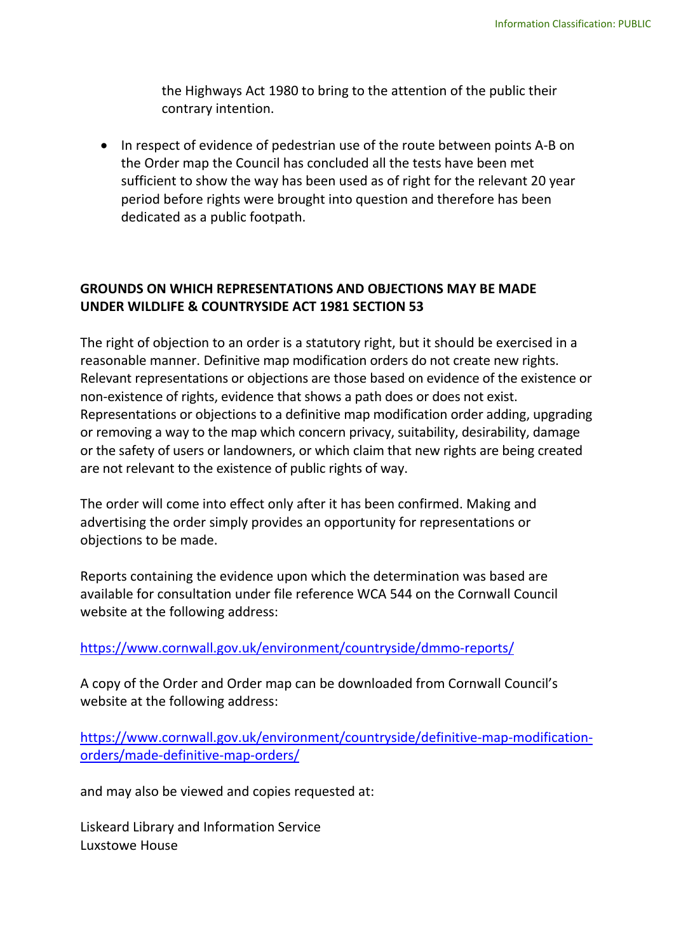the Highways Act 1980 to bring to the attention of the public their contrary intention.

 • In respect of evidence of pedestrian use of the route between points A-B on the Order map the Council has concluded all the tests have been met sufficient to show the way has been used as of right for the relevant 20 year dedicated as a public footpath. period before rights were brought into question and therefore has been

# **UNDER WILDLIFE & COUNTRYSIDE ACT 1981 SECTION 53 GROUNDS ON WHICH REPRESENTATIONS AND OBJECTIONS MAY BE MADE**

 reasonable manner. Definitive map modification orders do not create new rights. or removing a way to the map which concern privacy, suitability, desirability, damage or the safety of users or landowners, or which claim that new rights are being created are not relevant to the existence of public rights of way. The right of objection to an order is a statutory right, but it should be exercised in a Relevant representations or objections are those based on evidence of the existence or non-existence of rights, evidence that shows a path does or does not exist. Representations or objections to a definitive map modification order adding, upgrading

 The order will come into effect only after it has been confirmed. Making and objections to be made. advertising the order simply provides an opportunity for representations or

 available for consultation under file reference WCA 544 on the Cornwall Council Reports containing the evidence upon which the determination was based are website at the following address:

#### <https://www.cornwall.gov.uk/environment/countryside/dmmo-reports/>

 A copy of the Order and Order map can be downloaded from Cornwall Council's website at the following address:

[https://www.cornwall.gov.uk/environment/countryside/definitive-map-modification](https://www.cornwall.gov.uk/environment/countryside/definitive-map-modification-orders/made-definitive-map-orders/)[orders/made-definitive-map-orders/](https://www.cornwall.gov.uk/environment/countryside/definitive-map-modification-orders/made-definitive-map-orders/) 

and may also be viewed and copies requested at:

Liskeard Library and Information Service Luxstowe House